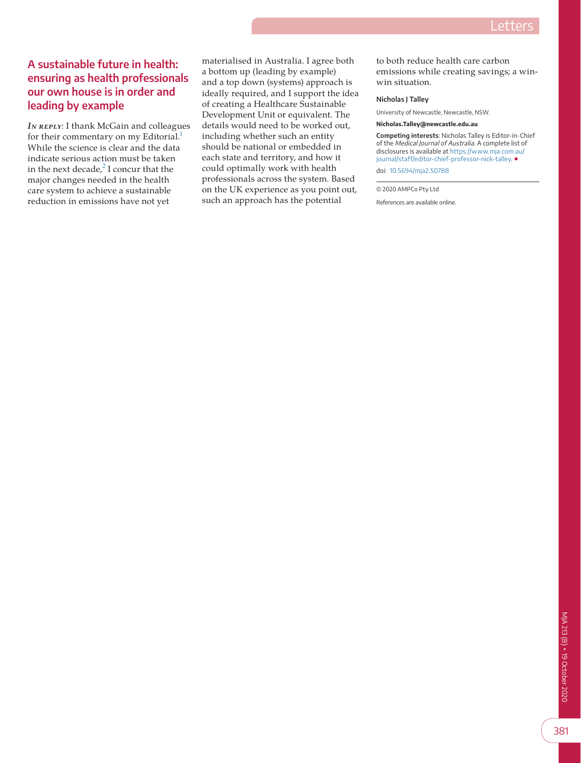## **A sustainable future in health: ensuring as health professionals our own house is in order and leading by example**

**IN REPLY: I thank McGain and colleagues** for their commentary on my Editorial.<sup>1</sup> While the science is clear and the data indicate serious action must be taken in the next decade, $2$  I concur that the major changes needed in the health care system to achieve a sustainable reduction in emissions have not yet

materialised in Australia. I agree both a bottom up (leading by example) and a top down (systems) approach is ideally required, and I support the idea of creating a Healthcare Sustainable Development Unit or equivalent. The details would need to be worked out, including whether such an entity should be national or embedded in each state and territory, and how it could optimally work with health professionals across the system. Based on the UK experience as you point out, such an approach has the potential

to both reduce health care carbon emissions while creating savings; a winwin situation.

## **Nicholas J Talley**

University of Newcastle, Newcastle, NSW.

**Nicholas.Talley@newcastle.edu.au**

**Competing interests**: Nicholas Talley is Editor-in-Chief of the Medical Journal of Australia. A complete list of disclosures is available at [https://www.mja.com.au/](https://www.mja.com.au/journal/staff/editor-chief-professor-nick-talley) [journal/staff/editor-chief-professor-nick-talley.](https://www.mja.com.au/journal/staff/editor-chief-professor-nick-talley) ■ doi: [10.5694/mja2.50788](https://doi.org/10.5694/mja2.50788)

© 2020 AMPCo Pty Ltd

References are available online.